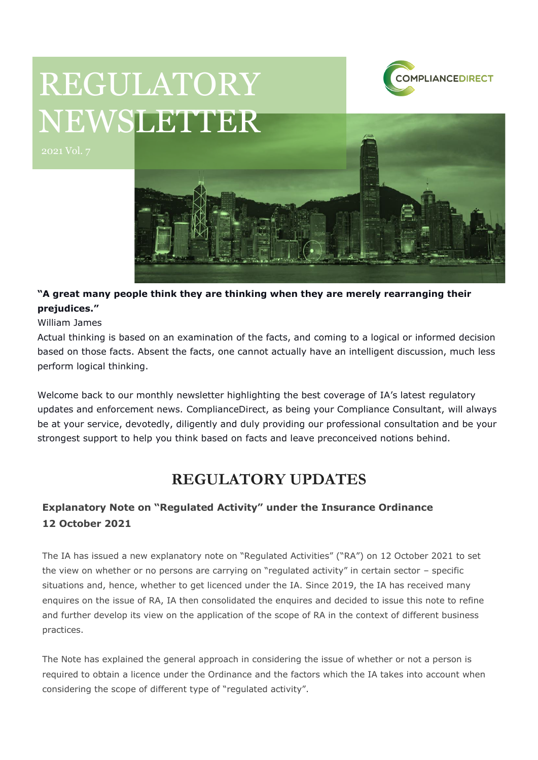

# REGULATORY NEWSLETTER



### **"A great many people think they are thinking when they are merely rearranging their prejudices."**

William James

Actual thinking is based on an examination of the facts, and coming to a logical or informed decision based on those facts. Absent the facts, one cannot actually have an intelligent discussion, much less perform logical thinking.

Welcome back to our monthly newsletter highlighting the best coverage of IA's latest regulatory updates and enforcement news. ComplianceDirect, as being your Compliance Consultant, will always be at your service, devotedly, diligently and duly providing our professional consultation and be your strongest support to help you think based on facts and leave preconceived notions behind.

## **REGULATORY UPDATES**

## **Explanatory Note on "Regulated Activity" under the Insurance Ordinance 12 October 2021**

The IA has issued a new explanatory note on "Regulated Activities" ("RA") on 12 October 2021 to set the view on whether or no persons are carrying on "regulated activity" in certain sector – specific situations and, hence, whether to get licenced under the IA. Since 2019, the IA has received many enquires on the issue of RA, IA then consolidated the enquires and decided to issue this note to refine and further develop its view on the application of the scope of RA in the context of different business practices.

The Note has explained the general approach in considering the issue of whether or not a person is required to obtain a licence under the Ordinance and the factors which the IA takes into account when considering the scope of different type of "regulated activity".